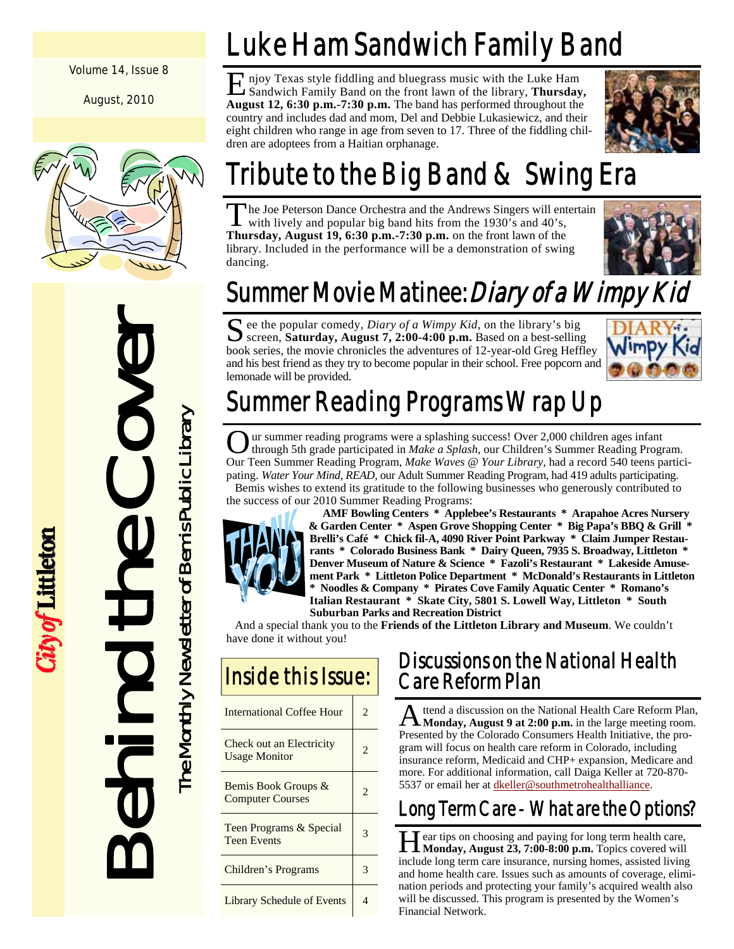#### Volume 14, Issue 8

August, 2010



Behind the Cover

City of Littleton

The Monthly Newsletter of Bemis Public Library

The Monthly Newsletter of Bemis Public Library

# Luke Ham Sandwich Family Band

E njoy Texas style fiddling and bluegrass music with the Luke Ham Sandwich Family Band on the front lawn of the library, **Thursday, August 12, 6:30 p.m.-7:30 p.m.** The band has performed throughout the country and includes dad and mom, Del and Debbie Lukasiewicz, and their eight children who range in age from seven to 17. Three of the fiddling children are adoptees from a Haitian orphanage.



# Tribute to the Big Band & Swing Era

The Joe Peterson Dance Orchestra and the Andrews Singers will entertain with lively and popular big band hits from the 1930's and 40's, **Thursday, August 19, 6:30 p.m.-7:30 p.m.** on the front lawn of the library. Included in the performance will be a demonstration of swing dancing.



## Summer Movie Matinee: Diary of a Wimpy Kid

S ee the popular comedy, *Diary of a Wimpy Kid*, on the library's big screen, **Saturday, August 7, 2:00-4:00 p.m.** Based on a best-selling book series, the movie chronicles the adventures of 12-year-old Greg Heffley and his best friend as they try to become popular in their school. Free popcorn and lemonade will be provided.



## Summer Reading Programs Wrap Up

Our summer reading programs were a splashing success! Over 2,000 children ages infant through 5th grade participated in *Make a Splash*, our Children's Summer Reading Program. Our Teen Summer Reading Program, *Make Waves @ Your Library,* had a record 540 teens participating. *Water Your Mind, READ,* our Adult Summer Reading Program, had 419 adults participating. Bemis wishes to extend its gratitude to the following businesses who generously contributed to the success of our 2010 Summer Reading Programs:



 **AMF Bowling Centers \* Applebee's Restaurants \* Arapahoe Acres Nursery & Garden Center \* Aspen Grove Shopping Center \* Big Papa's BBQ & Grill \* Brelli's Café \* Chick fil-A, 4090 River Point Parkway \* Claim Jumper Restaurants \* Colorado Business Bank \* Dairy Queen, 7935 S. Broadway, Littleton \* Denver Museum of Nature & Science \* Fazoli's Restaurant \* Lakeside Amusement Park \* Littleton Police Department \* McDonald's Restaurants in Littleton \* Noodles & Company \* Pirates Cove Family Aquatic Center \* Romano's Italian Restaurant \* Skate City, 5801 S. Lowell Way, Littleton \* South Suburban Parks and Recreation District** 

 And a special thank you to the **Friends of the Littleton Library and Museum**. We couldn't have done it without you!

| <b>Inside this Issue:</b>                        |                          |
|--------------------------------------------------|--------------------------|
| <b>International Coffee Hour</b>                 | 2                        |
| Check out an Electricity<br><b>Usage Monitor</b> | $\mathfrak{D}$           |
| Bemis Book Groups &<br><b>Computer Courses</b>   | $\mathfrak{D}$           |
| Teen Programs & Special<br><b>Teen Events</b>    | 3                        |
| Children's Programs                              | 3                        |
| Library Schedule of Events                       | $\overline{\mathcal{A}}$ |

#### Discussions on the National Health Care Reform Plan

A ttend a discussion on the National Health Care Reform Plan, **Monday, August 9 at 2:00 p.m.** in the large meeting room. Presented by the Colorado Consumers Health Initiative, the program will focus on health care reform in Colorado, including insurance reform, Medicaid and CHP+ expansion, Medicare and more. For additional information, call Daiga Keller at 720-870- 5537 or email her at dkeller@southmetrohealthalliance.

## Long Term Care - What are the Options?

Hear tips on choosing and paying for long term health care, Monday, August 23, 7:00-8:00 p.m. Topics covered will include long term care insurance, nursing homes, assisted living and home health care. Issues such as amounts of coverage, elimination periods and protecting your family's acquired wealth also will be discussed. This program is presented by the Women's Financial Network.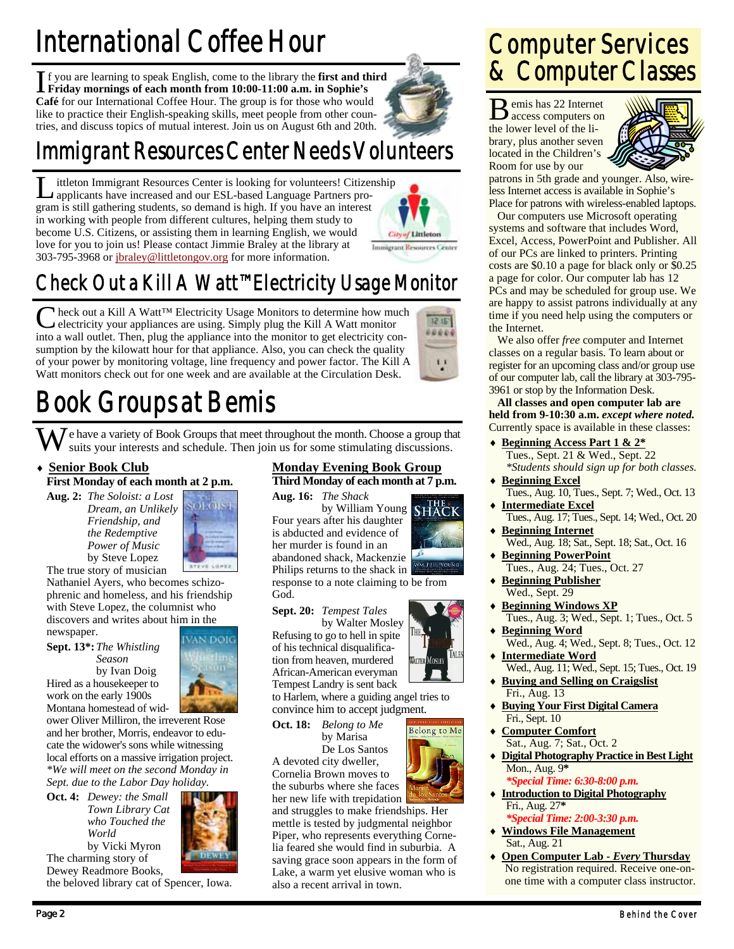# International Coffee Hour

I f you are learning to speak English, come to the library the **first and third Friday mornings of each month from 10:00-11:00 a.m. in Sophie's Café** for our International Coffee Hour. The group is for those who would like to practice their English-speaking skills, meet people from other countries, and discuss topics of mutual interest. Join us on August 6th and 20th.

## Immigrant Resources Center Needs Volunteers

ittleton Immigrant Resources Center is looking for volunteers! Citizenship applicants have increased and our ESL-based Language Partners program is still gathering students, so demand is high. If you have an interest in working with people from different cultures, helping them study to become U.S. Citizens, or assisting them in learning English, we would love for you to join us! Please contact Jimmie Braley at the library at 303-795-3968 or jbraley@littletongov.org for more information.



### Computer Services & Computer Classes

B emis has 22 Internet access computers on the lower level of the library, plus another seven located in the Children's Room for use by our



patrons in 5th grade and younger. Also, wireless Internet access is available in Sophie's Place for patrons with wireless-enabled laptops.

 Our computers use Microsoft operating systems and software that includes Word, Excel, Access, PowerPoint and Publisher. All of our PCs are linked to printers. Printing costs are \$0.10 a page for black only or \$0.25 a page for color. Our computer lab has 12 PCs and may be scheduled for group use. We are happy to assist patrons individually at any time if you need help using the computers or the Internet.

 We also offer *free* computer and Internet classes on a regular basis. To learn about or register for an upcoming class and/or group use of our computer lab, call the library at 303-795- 3961 or stop by the Information Desk.

**All classes and open computer lab are held from 9-10:30 a.m.** *except where noted.* Currently space is available in these classes:

- **Beginning Access Part 1 & 2\*** Tues., Sept. 21 & Wed., Sept. 22  *\*Students should sign up for both classes.*
- Tues., Aug. 10, Tues., Sept. 7; Wed., Oct. 13
- **Intermediate Excel** Tues., Aug. 17; Tues., Sept. 14; Wed., Oct. 20
- **Beginning Internet** Wed., Aug. 18; Sat., Sept. 18; Sat., Oct. 16
- **Beginning PowerPoint** Tues., Aug. 24; Tues., Oct. 27
- **Beginning Publisher** Wed., Sept. 29
- **Beginning Windows XP** Tues., Aug. 3; Wed., Sept. 1; Tues., Oct. 5
- **Beginning Word** Wed., Aug. 4; Wed., Sept. 8; Tues., Oct. 12
- **Intermediate Word** Wed., Aug. 11; Wed., Sept. 15; Tues., Oct. 19
- **Buying and Selling on Craigslist** Fri., Aug. 13
- **Buying Your First Digital Camera** Fri., Sept. 10
- **Computer Comfort** Sat., Aug. 7; Sat., Oct. 2
- **Digital Photography Practice in Best Light** Mon., Aug. 9**\***  *\*Special Time: 6:30-8:00 p.m.*
- **Introduction to Digital Photography** Fri., Aug. 27**\***   *\*Special Time: 2:00-3:30 p.m.*
- **Windows File Management** Sat., Aug. 21
- **Open Computer Lab** *Every* **Thursday** No registration required. Receive one-onone time with a computer class instructor.



 $1215'$ 00000

 $\mathbf{I}$ 

## Check Out a Kill A Watt™ Electricity Usage Monitor

Neck out a Kill A Watt™ Electricity Usage Monitors to determine how much electricity your appliances are using. Simply plug the Kill A Watt monitor into a wall outlet. Then, plug the appliance into the monitor to get electricity consumption by the kilowatt hour for that appliance. Also, you can check the quality of your power by monitoring voltage, line frequency and power factor. The Kill A Watt monitors check out for one week and are available at the Circulation Desk.

## Book Groups at Bemis

We have a variety of Book Groups that meet throughout the month. Choose a group that suits your interests and schedule. Then join us for some stimulating discussions.

#### **Senior Book Club**

**First Monday of each month at 2 p.m.** 

**Aug. 2:** *The Soloist: a Lost Dream, an Unlikely Friendship, and the Redemptive Power of Music*  by Steve Lopez



The true story of musician Nathaniel Ayers, who becomes schizophrenic and homeless, and his friendship

with Steve Lopez, the columnist who discovers and writes about him in the newspaper.

**Sept. 13\*:** *The Whistling Season*  by Ivan Doig Hired as a housekeeper to



work on the early 1900s Montana homestead of widower Oliver Milliron, the irreverent Rose and her brother, Morris, endeavor to educate the widower's sons while witnessing

local efforts on a massive irrigation project. *\*We will meet on the second Monday in Sept. due to the Labor Day holiday.* 

**Oct. 4:** *Dewey: the Small Town Library Cat who Touched the World* by Vicki Myron The charming story of Dewey Readmore Books,



the beloved library cat of Spencer, Iowa.

#### **Monday Evening Book Group**

**Third Monday of each month at 7 p.m. Aug. 16:** *The Shack*  **by William Young SHACK** 

Four years after his daughter is abducted and evidence of her murder is found in an abandoned shack, Mackenzie Philips returns to the shack in

response to a note claiming to be from God.

 by Walter Mosley Refusing to go to hell in spite of his technical disqualification from heaven, murdered African-American everyman Tempest Landry is sent back

to Harlem, where a guiding angel tries to convince him to accept judgment.

**Oct. 18:** *Belong to Me*  **by Marisa** De Los Santos

A devoted city dweller, Cornelia Brown moves to the suburbs where she faces

her new life with trepidation and struggles to make friendships. Her mettle is tested by judgmental neighbor Piper, who represents everything Cornelia feared she would find in suburbia. A saving grace soon appears in the form of Lake, a warm yet elusive woman who is also a recent arrival in town.



**Beginning Excel**



**WALTER MOSLEY** 

**Belong** to Me

**Sept. 20:** *Tempest Tales*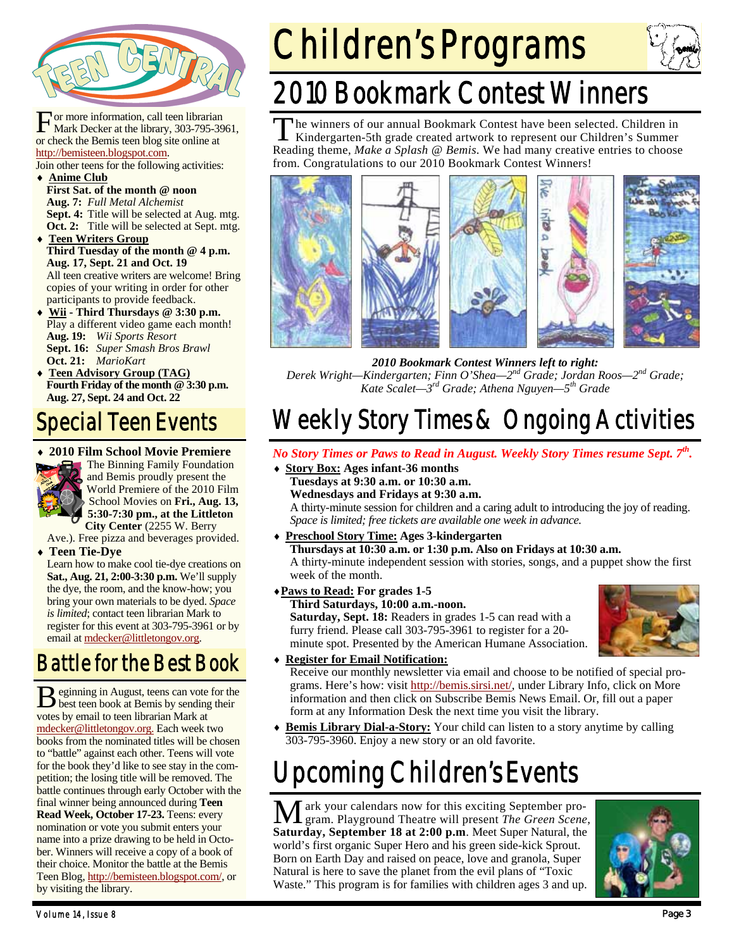

For more information, call teen librarian<br>Mark Decker at the library, 303-795-3961, or check the Bemis teen blog site online at http://bemisteen.blogspot.com. Join other teens for the following activities:

**Anime Club**

- **First Sat. of the month @ noon Aug. 7:** *Full Metal Alchemist* **Sept. 4:** Title will be selected at Aug. mtg. **Oct. 2:** Title will be selected at Sept. mtg.
- **Teen Writers Group Third Tuesday of the month @ 4 p.m. Aug. 17, Sept. 21 and Oct. 19**  All teen creative writers are welcome! Bring copies of your writing in order for other participants to provide feedback.
- **Wii Third Thursdays @ 3:30 p.m.**  Play a different video game each month! **Aug. 19:** *Wii Sports Resort* **Sept. 16:** *Super Smash Bros Brawl*  **Oct. 21:** *MarioKart*
- **Teen Advisory Group (TAG) Fourth Friday of the month @ 3:30 p.m. Aug. 27, Sept. 24 and Oct. 22**

## Special Teen Events

**2010 Film School Movie Premiere** 



**The Binning Family Foundation** and Bemis proudly present the World Premiere of the 2010 Film School Movies on **Fri., Aug. 13, 5:30-7:30 pm., at the Littleton City Center** (2255 W. Berry

Ave.). Free pizza and beverages provided. **Teen Tie-Dye**

Learn how to make cool tie-dye creations on **Sat., Aug. 21, 2:00-3:30 p.m.** We'll supply the dye, the room, and the know-how; you bring your own materials to be dyed. *Space is limited*; contact teen librarian Mark to register for this event at 303-795-3961 or by email at mdecker@littletongov.org.

### Battle for the Best Book

B eginning in August, teens can vote for the best teen book at Bemis by sending their votes by email to teen librarian Mark at mdecker@littletongov.org. Each week two books from the nominated titles will be chosen to "battle" against each other. Teens will vote for the book they'd like to see stay in the competition; the losing title will be removed. The battle continues through early October with the final winner being announced during **Teen Read Week, October 17-23.** Teens: every nomination or vote you submit enters your name into a prize drawing to be held in October. Winners will receive a copy of a book of their choice. Monitor the battle at the Bemis Teen Blog, http://bemisteen.blogspot.com/, or by visiting the library.

# Children's Programs



## 2010 Bookmark Contest Winners

The winners of our annual Bookmark Contest have been selected. Children in Kindergarten-5th grade created artwork to represent our Children's Summer Reading theme, *Make a Splash @ Bemis*. We had many creative entries to choose from. Congratulations to our 2010 Bookmark Contest Winners!



*2010 Bookmark Contest Winners left to right:* 

*Derek Wright—Kindergarten; Finn O'Shea—2nd Grade; Jordan Roos—2nd Grade; Kate Scalet—3rd Grade; Athena Nguyen—5th Grade* 

## Weekly Story Times & Ongoing Activities

- *No Story Times or Paws to Read in August. Weekly Story Times resume Sept. 7th.*
- **Story Box: Ages infant-36 months Tuesdays at 9:30 a.m. or 10:30 a.m. Wednesdays and Fridays at 9:30 a.m.**

A thirty-minute session for children and a caring adult to introducing the joy of reading. *Space is limited; free tickets are available one week in advance.* 

- **Preschool Story Time: Ages 3-kindergarten Thursdays at 10:30 a.m. or 1:30 p.m. Also on Fridays at 10:30 a.m.**  A thirty-minute independent session with stories, songs, and a puppet show the first
- **Paws to Read: For grades 1-5**

week of the month.

 **Third Saturdays, 10:00 a.m.-noon. Saturday, Sept. 18:** Readers in grades 1-5 can read with a furry friend. Please call 303-795-3961 to register for a 20 minute spot. Presented by the American Humane Association.



#### **Register for Email Notification:**

Receive our monthly newsletter via email and choose to be notified of special programs. Here's how: visit http://bemis.sirsi.net/, under Library Info, click on More information and then click on Subscribe Bemis News Email. Or, fill out a paper form at any Information Desk the next time you visit the library.

 **Bemis Library Dial-a-Story:** Your child can listen to a story anytime by calling 303-795-3960. Enjoy a new story or an old favorite.

## Upcoming Children's Events

M ark your calendars now for this exciting September pro-gram. Playground Theatre will present *The Green Scene*, **Saturday, September 18 at 2:00 p.m**. Meet Super Natural, the world's first organic Super Hero and his green side-kick Sprout. Born on Earth Day and raised on peace, love and granola, Super Natural is here to save the planet from the evil plans of "Toxic Waste." This program is for families with children ages 3 and up.